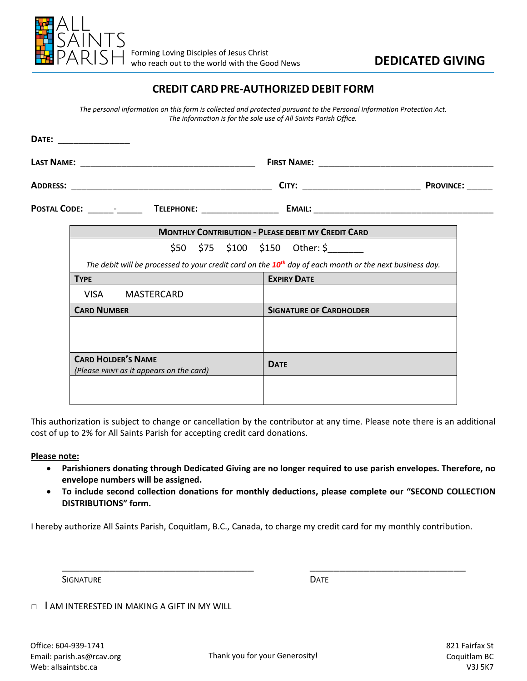

# **DEDICATED GIVING**

### **CREDIT CARD PRE-AUTHORIZED DEBIT FORM**

The personal information on this form is collected and protected pursuant to the Personal Information Protection Act. The information is for the sole use of All Saints Parish Office.

| DATE: ________________ |                                                                                                                     |                 |  |                                |             |                                     |  |  |  |
|------------------------|---------------------------------------------------------------------------------------------------------------------|-----------------|--|--------------------------------|-------------|-------------------------------------|--|--|--|
|                        |                                                                                                                     |                 |  |                                |             |                                     |  |  |  |
|                        |                                                                                                                     |                 |  |                                |             |                                     |  |  |  |
|                        | POSTAL CODE: _______- TELEPHONE: ________________ EMAIL: ________________________                                   |                 |  |                                |             |                                     |  |  |  |
|                        | <b>MONTHLY CONTRIBUTION - PLEASE DEBIT MY CREDIT CARD</b>                                                           |                 |  |                                |             |                                     |  |  |  |
|                        |                                                                                                                     |                 |  |                                |             | $$50$ $$75$ $$100$ $$150$ Other: \$ |  |  |  |
|                        | The debit will be processed to your credit card on the 10 <sup>th</sup> day of each month or the next business day. |                 |  |                                |             |                                     |  |  |  |
| <b>TYPE</b>            |                                                                                                                     |                 |  |                                |             | <b>EXPIRY DATE</b>                  |  |  |  |
|                        |                                                                                                                     | VISA MASTERCARD |  |                                |             |                                     |  |  |  |
|                        | <b>CARD NUMBER</b>                                                                                                  |                 |  | <b>SIGNATURE OF CARDHOLDER</b> |             |                                     |  |  |  |
|                        |                                                                                                                     |                 |  |                                |             |                                     |  |  |  |
|                        |                                                                                                                     |                 |  |                                |             |                                     |  |  |  |
|                        | <b>CARD HOLDER'S NAME</b><br>(Please PRINT as it appears on the card)                                               |                 |  |                                | <b>DATE</b> |                                     |  |  |  |
|                        |                                                                                                                     |                 |  |                                |             |                                     |  |  |  |
|                        |                                                                                                                     |                 |  |                                |             |                                     |  |  |  |

This authorization is subject to change or cancellation by the contributor at any time. Please note there is an additional cost of up to 2% for All Saints Parish for accepting credit card donations.

#### Please note:

- Parishioners donating through Dedicated Giving are no longer required to use parish envelopes. Therefore, no  $\bullet$ envelope numbers will be assigned.
- To include second collection donations for monthly deductions, please complete our "SECOND COLLECTION  $\bullet$ **DISTRIBUTIONS"** form.

I hereby authorize All Saints Parish, Coquitlam, B.C., Canada, to charge my credit card for my monthly contribution.

**SIGNATURE** 

**DATE** 

I AM INTERESTED IN MAKING A GIFT IN MY WILL